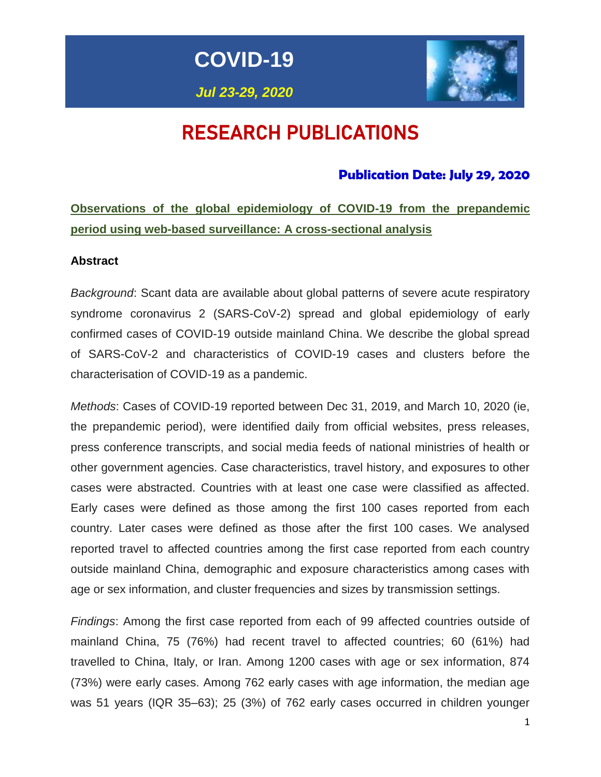

*Jul 23-29, 2020*



# RESEARCH PUBLICATIONS

# **Publication Date: July 29, 2020**

# **Observations of the global epidemiology of COVID-19 from the prepandemic period using web-based surveillance: A cross-sectional analysis**

#### **Abstract**

*Background*: Scant data are available about global patterns of severe acute respiratory syndrome coronavirus 2 (SARS-CoV-2) spread and global epidemiology of early confirmed cases of COVID-19 outside mainland China. We describe the global spread of SARS-CoV-2 and characteristics of COVID-19 cases and clusters before the characterisation of COVID-19 as a pandemic.

*Methods*: Cases of COVID-19 reported between Dec 31, 2019, and March 10, 2020 (ie, the prepandemic period), were identified daily from official websites, press releases, press conference transcripts, and social media feeds of national ministries of health or other government agencies. Case characteristics, travel history, and exposures to other cases were abstracted. Countries with at least one case were classified as affected. Early cases were defined as those among the first 100 cases reported from each country. Later cases were defined as those after the first 100 cases. We analysed reported travel to affected countries among the first case reported from each country outside mainland China, demographic and exposure characteristics among cases with age or sex information, and cluster frequencies and sizes by transmission settings.

*Findings*: Among the first case reported from each of 99 affected countries outside of mainland China, 75 (76%) had recent travel to affected countries; 60 (61%) had travelled to China, Italy, or Iran. Among 1200 cases with age or sex information, 874 (73%) were early cases. Among 762 early cases with age information, the median age was 51 years (IQR 35–63); 25 (3%) of 762 early cases occurred in children younger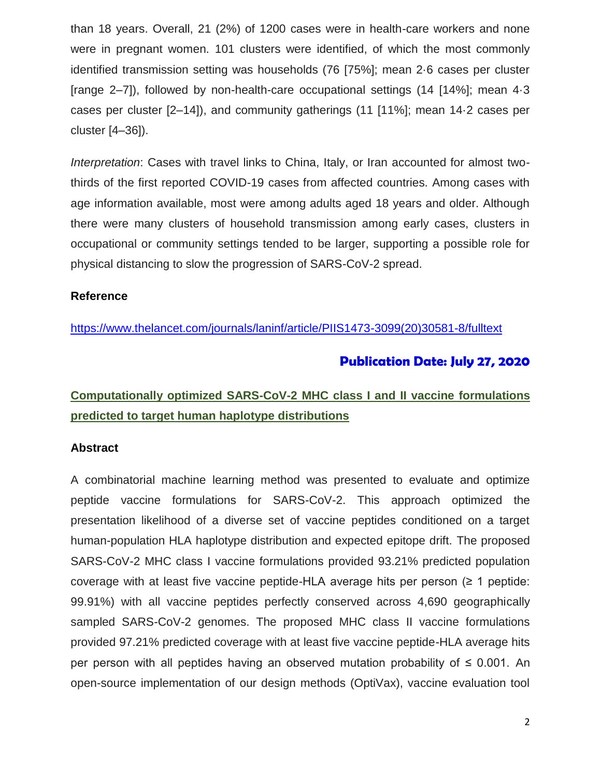than 18 years. Overall, 21 (2%) of 1200 cases were in health-care workers and none were in pregnant women. 101 clusters were identified, of which the most commonly identified transmission setting was households (76 [75%]; mean 2·6 cases per cluster [range 2–7]), followed by non-health-care occupational settings (14 [14%]; mean 4·3 cases per cluster [2–14]), and community gatherings (11 [11%]; mean 14·2 cases per cluster [4–36]).

*Interpretation*: Cases with travel links to China, Italy, or Iran accounted for almost twothirds of the first reported COVID-19 cases from affected countries. Among cases with age information available, most were among adults aged 18 years and older. Although there were many clusters of household transmission among early cases, clusters in occupational or community settings tended to be larger, supporting a possible role for physical distancing to slow the progression of SARS-CoV-2 spread.

#### **Reference**

[https://www.thelancet.com/journals/laninf/article/PIIS1473-3099\(20\)30581-8/fulltext](https://www.thelancet.com/journals/laninf/article/PIIS1473-3099(20)30581-8/fulltext)

# **Publication Date: July 27, 2020**

# **Computationally optimized SARS-CoV-2 MHC class I and II vaccine formulations predicted to target human haplotype distributions**

## **Abstract**

A combinatorial machine learning method was presented to evaluate and optimize peptide vaccine formulations for SARS-CoV-2. This approach optimized the presentation likelihood of a diverse set of vaccine peptides conditioned on a target human-population HLA haplotype distribution and expected epitope drift. The proposed SARS-CoV-2 MHC class I vaccine formulations provided 93.21% predicted population coverage with at least five vaccine peptide-HLA average hits per person  $(≥ 1$  peptide: 99.91%) with all vaccine peptides perfectly conserved across 4,690 geographically sampled SARS-CoV-2 genomes. The proposed MHC class II vaccine formulations provided 97.21% predicted coverage with at least five vaccine peptide-HLA average hits per person with all peptides having an observed mutation probability of ≤ 0.001. An open-source implementation of our design methods (OptiVax), vaccine evaluation tool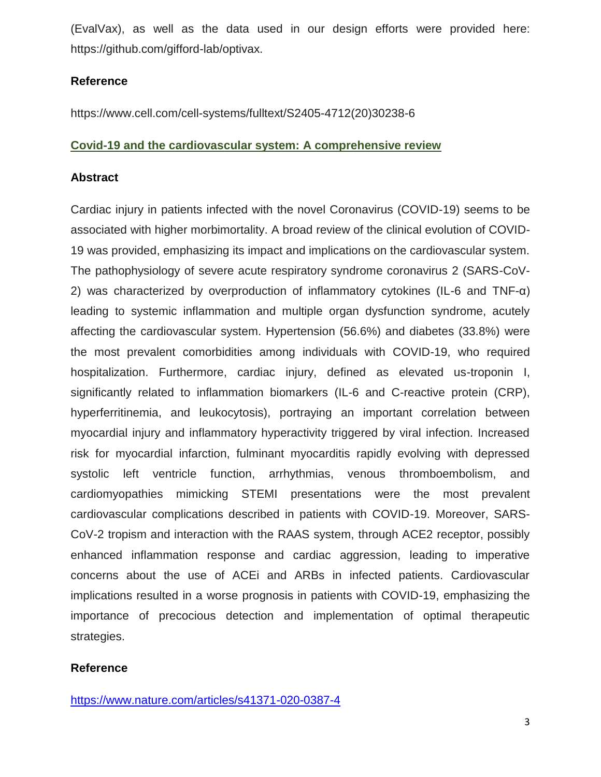(EvalVax), as well as the data used in our design efforts were provided here: https://github.com/gifford-lab/optivax.

## **Reference**

https://www.cell.com/cell-systems/fulltext/S2405-4712(20)30238-6

## **Covid-19 and the cardiovascular system: A comprehensive review**

#### **Abstract**

Cardiac injury in patients infected with the novel Coronavirus (COVID-19) seems to be associated with higher morbimortality. A broad review of the clinical evolution of COVID-19 was provided, emphasizing its impact and implications on the cardiovascular system. The pathophysiology of severe acute respiratory syndrome coronavirus 2 (SARS-CoV-2) was characterized by overproduction of inflammatory cytokines (IL-6 and TNF-α) leading to systemic inflammation and multiple organ dysfunction syndrome, acutely affecting the cardiovascular system. Hypertension (56.6%) and diabetes (33.8%) were the most prevalent comorbidities among individuals with COVID-19, who required hospitalization. Furthermore, cardiac injury, defined as elevated us-troponin I, significantly related to inflammation biomarkers (IL-6 and C-reactive protein (CRP), hyperferritinemia, and leukocytosis), portraying an important correlation between myocardial injury and inflammatory hyperactivity triggered by viral infection. Increased risk for myocardial infarction, fulminant myocarditis rapidly evolving with depressed systolic left ventricle function, arrhythmias, venous thromboembolism, and cardiomyopathies mimicking STEMI presentations were the most prevalent cardiovascular complications described in patients with COVID-19. Moreover, SARS-CoV-2 tropism and interaction with the RAAS system, through ACE2 receptor, possibly enhanced inflammation response and cardiac aggression, leading to imperative concerns about the use of ACEi and ARBs in infected patients. Cardiovascular implications resulted in a worse prognosis in patients with COVID-19, emphasizing the importance of precocious detection and implementation of optimal therapeutic strategies.

## **Reference**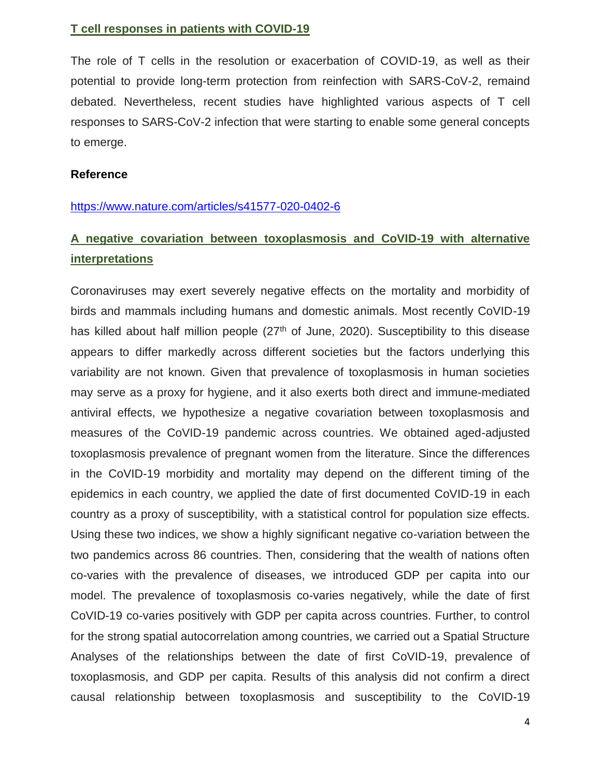#### **T cell responses in patients with COVID-19**

The role of T cells in the resolution or exacerbation of COVID-19, as well as their potential to provide long-term protection from reinfection with SARS-CoV-2, remaind debated. Nevertheless, recent studies have highlighted various aspects of T cell responses to SARS-CoV-2 infection that were starting to enable some general concepts to emerge.

#### **Reference**

#### <https://www.nature.com/articles/s41577-020-0402-6>

# **A negative covariation between toxoplasmosis and CoVID-19 with alternative interpretations**

Coronaviruses may exert severely negative effects on the mortality and morbidity of birds and mammals including humans and domestic animals. Most recently CoVID-19 has killed about half million people (27<sup>th</sup> of June, 2020). Susceptibility to this disease appears to differ markedly across different societies but the factors underlying this variability are not known. Given that prevalence of toxoplasmosis in human societies may serve as a proxy for hygiene, and it also exerts both direct and immune-mediated antiviral effects, we hypothesize a negative covariation between toxoplasmosis and measures of the CoVID-19 pandemic across countries. We obtained aged-adjusted toxoplasmosis prevalence of pregnant women from the literature. Since the differences in the CoVID-19 morbidity and mortality may depend on the different timing of the epidemics in each country, we applied the date of first documented CoVID-19 in each country as a proxy of susceptibility, with a statistical control for population size effects. Using these two indices, we show a highly significant negative co-variation between the two pandemics across 86 countries. Then, considering that the wealth of nations often co-varies with the prevalence of diseases, we introduced GDP per capita into our model. The prevalence of toxoplasmosis co-varies negatively, while the date of first CoVID-19 co-varies positively with GDP per capita across countries. Further, to control for the strong spatial autocorrelation among countries, we carried out a Spatial Structure Analyses of the relationships between the date of first CoVID-19, prevalence of toxoplasmosis, and GDP per capita. Results of this analysis did not confirm a direct causal relationship between toxoplasmosis and susceptibility to the CoVID-19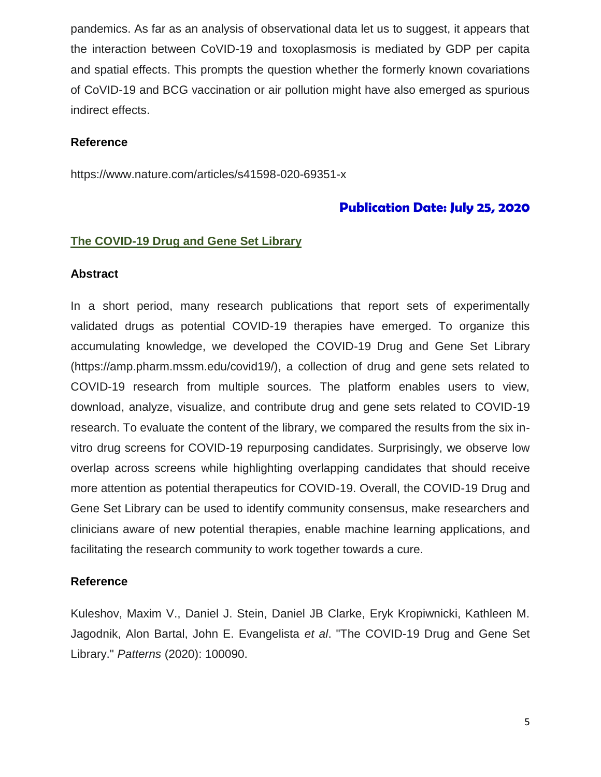pandemics. As far as an analysis of observational data let us to suggest, it appears that the interaction between CoVID-19 and toxoplasmosis is mediated by GDP per capita and spatial effects. This prompts the question whether the formerly known covariations of CoVID-19 and BCG vaccination or air pollution might have also emerged as spurious indirect effects.

#### **Reference**

https://www.nature.com/articles/s41598-020-69351-x

## **Publication Date: July 25, 2020**

#### **The COVID-19 Drug and Gene Set Library**

#### **Abstract**

In a short period, many research publications that report sets of experimentally validated drugs as potential COVID-19 therapies have emerged. To organize this accumulating knowledge, we developed the COVID-19 Drug and Gene Set Library (https://amp.pharm.mssm.edu/covid19/), a collection of drug and gene sets related to COVID-19 research from multiple sources. The platform enables users to view, download, analyze, visualize, and contribute drug and gene sets related to COVID-19 research. To evaluate the content of the library, we compared the results from the six invitro drug screens for COVID-19 repurposing candidates. Surprisingly, we observe low overlap across screens while highlighting overlapping candidates that should receive more attention as potential therapeutics for COVID-19. Overall, the COVID-19 Drug and Gene Set Library can be used to identify community consensus, make researchers and clinicians aware of new potential therapies, enable machine learning applications, and facilitating the research community to work together towards a cure.

#### **Reference**

Kuleshov, Maxim V., Daniel J. Stein, Daniel JB Clarke, Eryk Kropiwnicki, Kathleen M. Jagodnik, Alon Bartal, John E. Evangelista *et al*. "The COVID-19 Drug and Gene Set Library." *Patterns* (2020): 100090.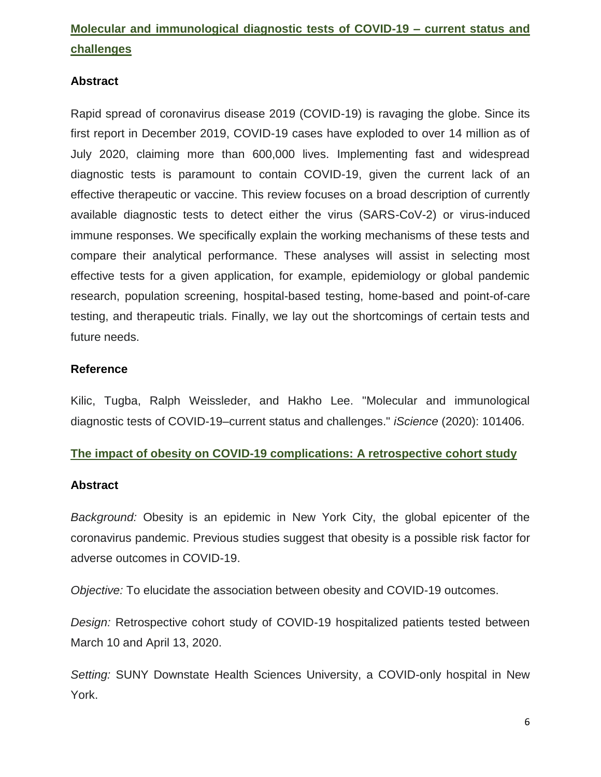# **Molecular and immunological diagnostic tests of COVID-19 – current status and challenges**

## **Abstract**

Rapid spread of coronavirus disease 2019 (COVID-19) is ravaging the globe. Since its first report in December 2019, COVID-19 cases have exploded to over 14 million as of July 2020, claiming more than 600,000 lives. Implementing fast and widespread diagnostic tests is paramount to contain COVID-19, given the current lack of an effective therapeutic or vaccine. This review focuses on a broad description of currently available diagnostic tests to detect either the virus (SARS-CoV-2) or virus-induced immune responses. We specifically explain the working mechanisms of these tests and compare their analytical performance. These analyses will assist in selecting most effective tests for a given application, for example, epidemiology or global pandemic research, population screening, hospital-based testing, home-based and point-of-care testing, and therapeutic trials. Finally, we lay out the shortcomings of certain tests and future needs.

## **Reference**

Kilic, Tugba, Ralph Weissleder, and Hakho Lee. "Molecular and immunological diagnostic tests of COVID-19–current status and challenges." *iScience* (2020): 101406.

## **The impact of obesity on COVID-19 complications: A retrospective cohort study**

## **Abstract**

*Background:* Obesity is an epidemic in New York City, the global epicenter of the coronavirus pandemic. Previous studies suggest that obesity is a possible risk factor for adverse outcomes in COVID-19.

*Objective:* To elucidate the association between obesity and COVID-19 outcomes.

*Design:* Retrospective cohort study of COVID-19 hospitalized patients tested between March 10 and April 13, 2020.

*Setting:* SUNY Downstate Health Sciences University, a COVID-only hospital in New York.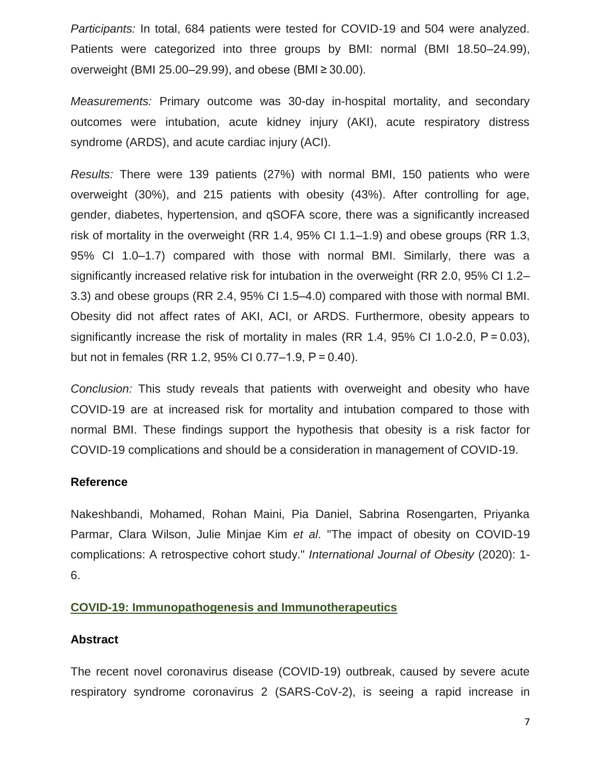*Participants:* In total, 684 patients were tested for COVID-19 and 504 were analyzed. Patients were categorized into three groups by BMI: normal (BMI 18.50–24.99), overweight (BMI 25.00–29.99), and obese (BMI ≥ 30.00).

*Measurements:* Primary outcome was 30-day in-hospital mortality, and secondary outcomes were intubation, acute kidney injury (AKI), acute respiratory distress syndrome (ARDS), and acute cardiac injury (ACI).

*Results:* There were 139 patients (27%) with normal BMI, 150 patients who were overweight (30%), and 215 patients with obesity (43%). After controlling for age, gender, diabetes, hypertension, and qSOFA score, there was a significantly increased risk of mortality in the overweight (RR 1.4, 95% CI 1.1–1.9) and obese groups (RR 1.3, 95% CI 1.0–1.7) compared with those with normal BMI. Similarly, there was a significantly increased relative risk for intubation in the overweight (RR 2.0, 95% CI 1.2– 3.3) and obese groups (RR 2.4, 95% CI 1.5–4.0) compared with those with normal BMI. Obesity did not affect rates of AKI, ACI, or ARDS. Furthermore, obesity appears to significantly increase the risk of mortality in males (RR 1.4, 95% CI 1.0-2.0, P = 0.03), but not in females (RR 1.2, 95% CI 0.77–1.9, P = 0.40).

*Conclusion:* This study reveals that patients with overweight and obesity who have COVID-19 are at increased risk for mortality and intubation compared to those with normal BMI. These findings support the hypothesis that obesity is a risk factor for COVID-19 complications and should be a consideration in management of COVID-19.

## **Reference**

Nakeshbandi, Mohamed, Rohan Maini, Pia Daniel, Sabrina Rosengarten, Priyanka Parmar, Clara Wilson, Julie Minjae Kim *et al*. "The impact of obesity on COVID-19 complications: A retrospective cohort study." *International Journal of Obesity* (2020): 1- 6.

## **COVID-19: Immunopathogenesis and Immunotherapeutics**

#### **Abstract**

The recent novel coronavirus disease (COVID-19) outbreak, caused by severe acute respiratory syndrome coronavirus 2 (SARS-CoV-2), is seeing a rapid increase in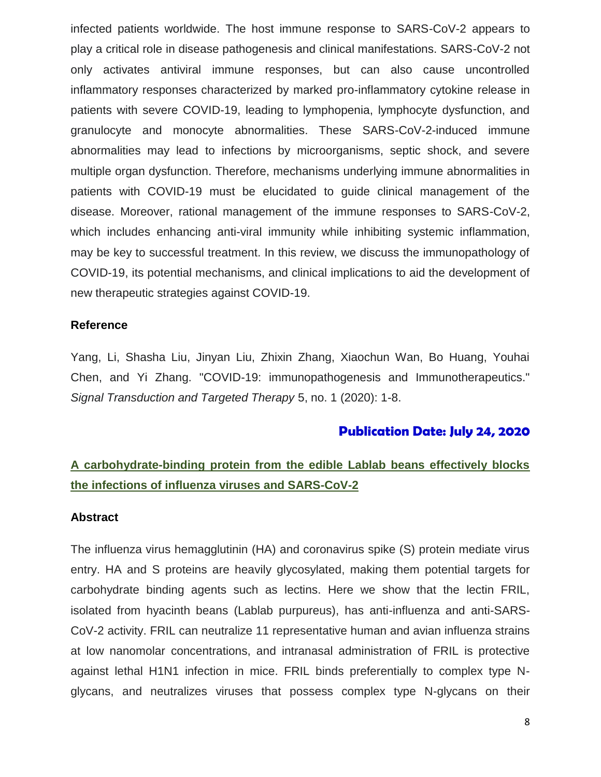infected patients worldwide. The host immune response to SARS-CoV-2 appears to play a critical role in disease pathogenesis and clinical manifestations. SARS-CoV-2 not only activates antiviral immune responses, but can also cause uncontrolled inflammatory responses characterized by marked pro-inflammatory cytokine release in patients with severe COVID-19, leading to lymphopenia, lymphocyte dysfunction, and granulocyte and monocyte abnormalities. These SARS-CoV-2-induced immune abnormalities may lead to infections by microorganisms, septic shock, and severe multiple organ dysfunction. Therefore, mechanisms underlying immune abnormalities in patients with COVID-19 must be elucidated to guide clinical management of the disease. Moreover, rational management of the immune responses to SARS-CoV-2, which includes enhancing anti-viral immunity while inhibiting systemic inflammation, may be key to successful treatment. In this review, we discuss the immunopathology of COVID-19, its potential mechanisms, and clinical implications to aid the development of new therapeutic strategies against COVID-19.

#### **Reference**

Yang, Li, Shasha Liu, Jinyan Liu, Zhixin Zhang, Xiaochun Wan, Bo Huang, Youhai Chen, and Yi Zhang. "COVID-19: immunopathogenesis and Immunotherapeutics." *Signal Transduction and Targeted Therapy* 5, no. 1 (2020): 1-8.

## **Publication Date: July 24, 2020**

# **A carbohydrate-binding protein from the edible Lablab beans effectively blocks the infections of influenza viruses and SARS-CoV-2**

#### **Abstract**

The influenza virus hemagglutinin (HA) and coronavirus spike (S) protein mediate virus entry. HA and S proteins are heavily glycosylated, making them potential targets for carbohydrate binding agents such as lectins. Here we show that the lectin FRIL, isolated from hyacinth beans (Lablab purpureus), has anti-influenza and anti-SARS-CoV-2 activity. FRIL can neutralize 11 representative human and avian influenza strains at low nanomolar concentrations, and intranasal administration of FRIL is protective against lethal H1N1 infection in mice. FRIL binds preferentially to complex type Nglycans, and neutralizes viruses that possess complex type N-glycans on their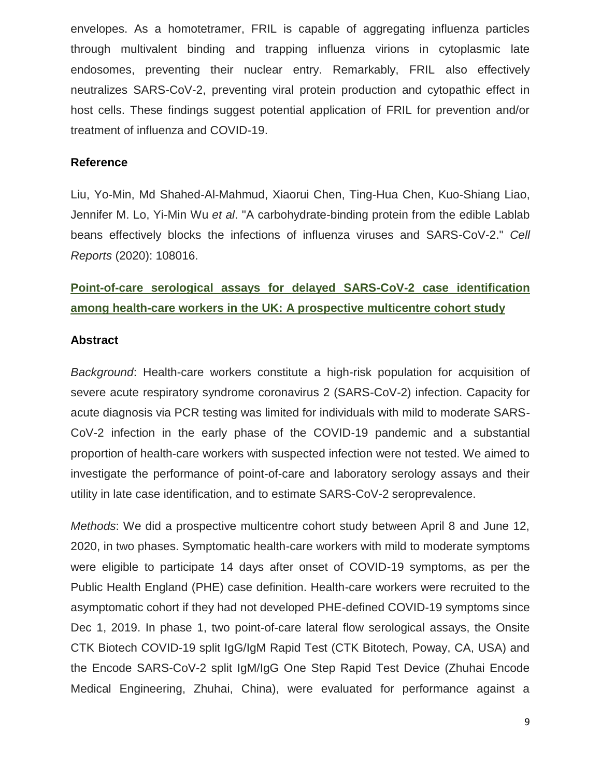envelopes. As a homotetramer, FRIL is capable of aggregating influenza particles through multivalent binding and trapping influenza virions in cytoplasmic late endosomes, preventing their nuclear entry. Remarkably, FRIL also effectively neutralizes SARS-CoV-2, preventing viral protein production and cytopathic effect in host cells. These findings suggest potential application of FRIL for prevention and/or treatment of influenza and COVID-19.

#### **Reference**

Liu, Yo-Min, Md Shahed-Al-Mahmud, Xiaorui Chen, Ting-Hua Chen, Kuo-Shiang Liao, Jennifer M. Lo, Yi-Min Wu *et al*. "A carbohydrate-binding protein from the edible Lablab beans effectively blocks the infections of influenza viruses and SARS-CoV-2." *Cell Reports* (2020): 108016.

# **Point-of-care serological assays for delayed SARS-CoV-2 case identification among health-care workers in the UK: A prospective multicentre cohort study**

#### **Abstract**

*Background*: Health-care workers constitute a high-risk population for acquisition of severe acute respiratory syndrome coronavirus 2 (SARS-CoV-2) infection. Capacity for acute diagnosis via PCR testing was limited for individuals with mild to moderate SARS-CoV-2 infection in the early phase of the COVID-19 pandemic and a substantial proportion of health-care workers with suspected infection were not tested. We aimed to investigate the performance of point-of-care and laboratory serology assays and their utility in late case identification, and to estimate SARS-CoV-2 seroprevalence.

*Methods*: We did a prospective multicentre cohort study between April 8 and June 12, 2020, in two phases. Symptomatic health-care workers with mild to moderate symptoms were eligible to participate 14 days after onset of COVID-19 symptoms, as per the Public Health England (PHE) case definition. Health-care workers were recruited to the asymptomatic cohort if they had not developed PHE-defined COVID-19 symptoms since Dec 1, 2019. In phase 1, two point-of-care lateral flow serological assays, the Onsite CTK Biotech COVID-19 split IgG/IgM Rapid Test (CTK Bitotech, Poway, CA, USA) and the Encode SARS-CoV-2 split IgM/IgG One Step Rapid Test Device (Zhuhai Encode Medical Engineering, Zhuhai, China), were evaluated for performance against a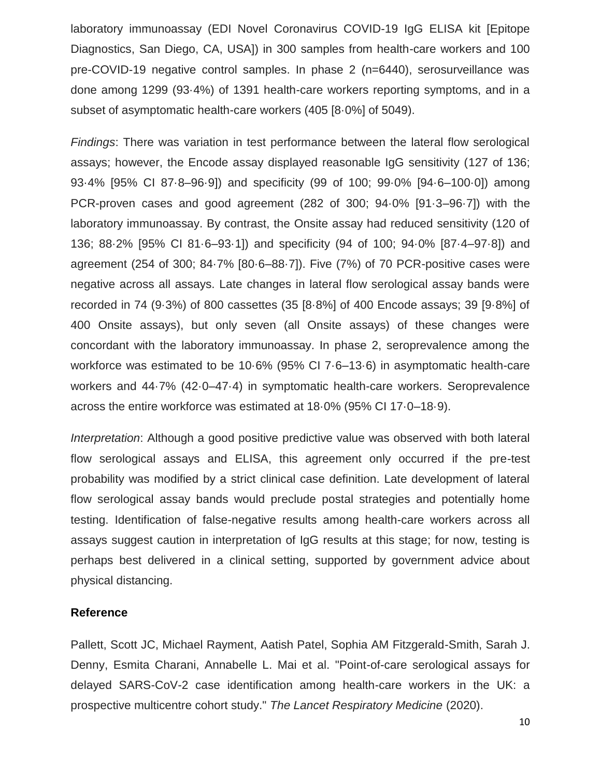laboratory immunoassay (EDI Novel Coronavirus COVID-19 IgG ELISA kit [Epitope Diagnostics, San Diego, CA, USA]) in 300 samples from health-care workers and 100 pre-COVID-19 negative control samples. In phase 2 (n=6440), serosurveillance was done among 1299 (93·4%) of 1391 health-care workers reporting symptoms, and in a subset of asymptomatic health-care workers (405 [8·0%] of 5049).

*Findings*: There was variation in test performance between the lateral flow serological assays; however, the Encode assay displayed reasonable IgG sensitivity (127 of 136; 93·4% [95% CI 87·8–96·9]) and specificity (99 of 100; 99·0% [94·6–100·0]) among PCR-proven cases and good agreement (282 of 300; 94·0% [91·3–96·7]) with the laboratory immunoassay. By contrast, the Onsite assay had reduced sensitivity (120 of 136; 88·2% [95% CI 81·6–93·1]) and specificity (94 of 100; 94·0% [87·4–97·8]) and agreement (254 of 300; 84·7% [80·6–88·7]). Five (7%) of 70 PCR-positive cases were negative across all assays. Late changes in lateral flow serological assay bands were recorded in 74 (9·3%) of 800 cassettes (35 [8·8%] of 400 Encode assays; 39 [9·8%] of 400 Onsite assays), but only seven (all Onsite assays) of these changes were concordant with the laboratory immunoassay. In phase 2, seroprevalence among the workforce was estimated to be 10·6% (95% CI 7·6–13·6) in asymptomatic health-care workers and 44·7% (42·0–47·4) in symptomatic health-care workers. Seroprevalence across the entire workforce was estimated at 18·0% (95% CI 17·0–18·9).

*Interpretation*: Although a good positive predictive value was observed with both lateral flow serological assays and ELISA, this agreement only occurred if the pre-test probability was modified by a strict clinical case definition. Late development of lateral flow serological assay bands would preclude postal strategies and potentially home testing. Identification of false-negative results among health-care workers across all assays suggest caution in interpretation of IgG results at this stage; for now, testing is perhaps best delivered in a clinical setting, supported by government advice about physical distancing.

#### **Reference**

Pallett, Scott JC, Michael Rayment, Aatish Patel, Sophia AM Fitzgerald-Smith, Sarah J. Denny, Esmita Charani, Annabelle L. Mai et al. "Point-of-care serological assays for delayed SARS-CoV-2 case identification among health-care workers in the UK: a prospective multicentre cohort study." *The Lancet Respiratory Medicine* (2020).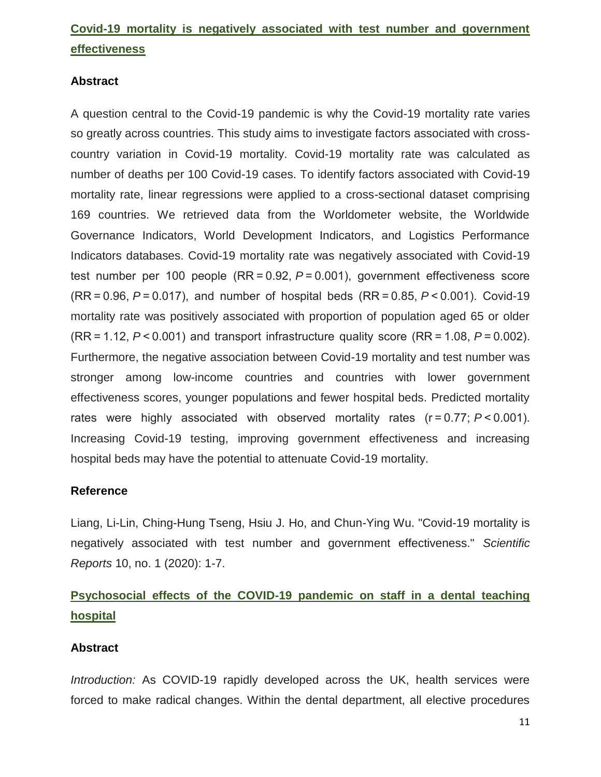# **Covid-19 mortality is negatively associated with test number and government effectiveness**

## **Abstract**

A question central to the Covid-19 pandemic is why the Covid-19 mortality rate varies so greatly across countries. This study aims to investigate factors associated with crosscountry variation in Covid-19 mortality. Covid-19 mortality rate was calculated as number of deaths per 100 Covid-19 cases. To identify factors associated with Covid-19 mortality rate, linear regressions were applied to a cross-sectional dataset comprising 169 countries. We retrieved data from the Worldometer website, the Worldwide Governance Indicators, World Development Indicators, and Logistics Performance Indicators databases. Covid-19 mortality rate was negatively associated with Covid-19 test number per 100 people (RR = 0.92, *P* = 0.001), government effectiveness score (RR = 0.96, *P* = 0.017), and number of hospital beds (RR = 0.85, *P* < 0.001). Covid-19 mortality rate was positively associated with proportion of population aged 65 or older (RR = 1.12, *P* < 0.001) and transport infrastructure quality score (RR = 1.08, *P* = 0.002). Furthermore, the negative association between Covid-19 mortality and test number was stronger among low-income countries and countries with lower government effectiveness scores, younger populations and fewer hospital beds. Predicted mortality rates were highly associated with observed mortality rates (r = 0.77; *P* < 0.001). Increasing Covid-19 testing, improving government effectiveness and increasing hospital beds may have the potential to attenuate Covid-19 mortality.

## **Reference**

Liang, Li-Lin, Ching-Hung Tseng, Hsiu J. Ho, and Chun-Ying Wu. "Covid-19 mortality is negatively associated with test number and government effectiveness." *Scientific Reports* 10, no. 1 (2020): 1-7.

# **Psychosocial effects of the COVID-19 pandemic on staff in a dental teaching hospital**

## **Abstract**

*Introduction:* As COVID-19 rapidly developed across the UK, health services were forced to make radical changes. Within the dental department, all elective procedures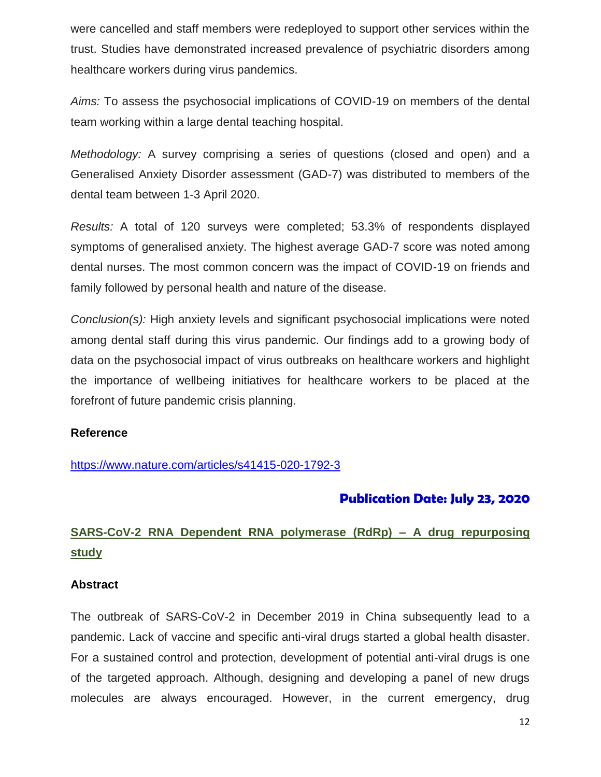were cancelled and staff members were redeployed to support other services within the trust. Studies have demonstrated increased prevalence of psychiatric disorders among healthcare workers during virus pandemics.

*Aims:* To assess the psychosocial implications of COVID-19 on members of the dental team working within a large dental teaching hospital.

*Methodology:* A survey comprising a series of questions (closed and open) and a Generalised Anxiety Disorder assessment (GAD-7) was distributed to members of the dental team between 1-3 April 2020.

*Results:* A total of 120 surveys were completed; 53.3% of respondents displayed symptoms of generalised anxiety. The highest average GAD-7 score was noted among dental nurses. The most common concern was the impact of COVID-19 on friends and family followed by personal health and nature of the disease.

*Conclusion(s):* High anxiety levels and significant psychosocial implications were noted among dental staff during this virus pandemic. Our findings add to a growing body of data on the psychosocial impact of virus outbreaks on healthcare workers and highlight the importance of wellbeing initiatives for healthcare workers to be placed at the forefront of future pandemic crisis planning.

## **Reference**

<https://www.nature.com/articles/s41415-020-1792-3>

# **Publication Date: July 23, 2020**

# **SARS-CoV-2 RNA Dependent RNA polymerase (RdRp) – A drug repurposing study**

## **Abstract**

The outbreak of SARS-CoV-2 in December 2019 in China subsequently lead to a pandemic. Lack of vaccine and specific anti-viral drugs started a global health disaster. For a sustained control and protection, development of potential anti-viral drugs is one of the targeted approach. Although, designing and developing a panel of new drugs molecules are always encouraged. However, in the current emergency, drug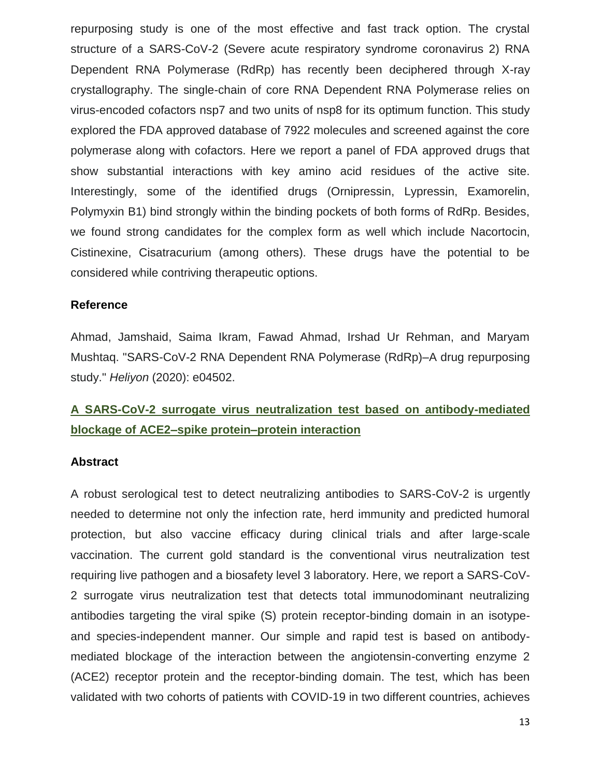repurposing study is one of the most effective and fast track option. The crystal structure of a SARS-CoV-2 (Severe acute respiratory syndrome coronavirus 2) RNA Dependent RNA Polymerase (RdRp) has recently been deciphered through X-ray crystallography. The single-chain of core RNA Dependent RNA Polymerase relies on virus-encoded cofactors nsp7 and two units of nsp8 for its optimum function. This study explored the FDA approved database of 7922 molecules and screened against the core polymerase along with cofactors. Here we report a panel of FDA approved drugs that show substantial interactions with key amino acid residues of the active site. Interestingly, some of the identified drugs (Ornipressin, Lypressin, Examorelin, Polymyxin B1) bind strongly within the binding pockets of both forms of RdRp. Besides, we found strong candidates for the complex form as well which include Nacortocin, Cistinexine, Cisatracurium (among others). These drugs have the potential to be considered while contriving therapeutic options.

#### **Reference**

Ahmad, Jamshaid, Saima Ikram, Fawad Ahmad, Irshad Ur Rehman, and Maryam Mushtaq. "SARS-CoV-2 RNA Dependent RNA Polymerase (RdRp)–A drug repurposing study." *Heliyon* (2020): e04502.

# **A SARS-CoV-2 surrogate virus neutralization test based on antibody-mediated blockage of ACE2–spike protein–protein interaction**

## **Abstract**

A robust serological test to detect neutralizing antibodies to SARS-CoV-2 is urgently needed to determine not only the infection rate, herd immunity and predicted humoral protection, but also vaccine efficacy during clinical trials and after large-scale vaccination. The current gold standard is the conventional virus neutralization test requiring live pathogen and a biosafety level 3 laboratory. Here, we report a SARS-CoV-2 surrogate virus neutralization test that detects total immunodominant neutralizing antibodies targeting the viral spike (S) protein receptor-binding domain in an isotypeand species-independent manner. Our simple and rapid test is based on antibodymediated blockage of the interaction between the angiotensin-converting enzyme 2 (ACE2) receptor protein and the receptor-binding domain. The test, which has been validated with two cohorts of patients with COVID-19 in two different countries, achieves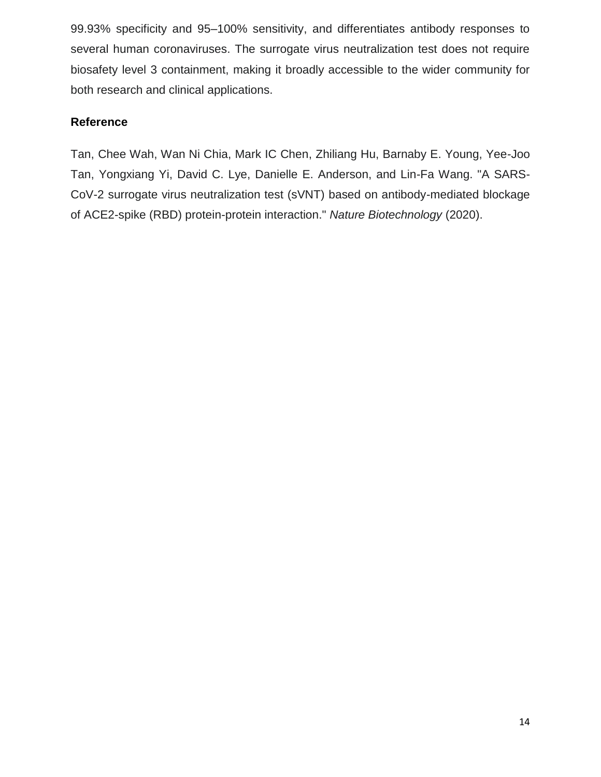99.93% specificity and 95–100% sensitivity, and differentiates antibody responses to several human coronaviruses. The surrogate virus neutralization test does not require biosafety level 3 containment, making it broadly accessible to the wider community for both research and clinical applications.

## **Reference**

Tan, Chee Wah, Wan Ni Chia, Mark IC Chen, Zhiliang Hu, Barnaby E. Young, Yee-Joo Tan, Yongxiang Yi, David C. Lye, Danielle E. Anderson, and Lin-Fa Wang. "A SARS-CoV-2 surrogate virus neutralization test (sVNT) based on antibody-mediated blockage of ACE2-spike (RBD) protein-protein interaction." *Nature Biotechnology* (2020).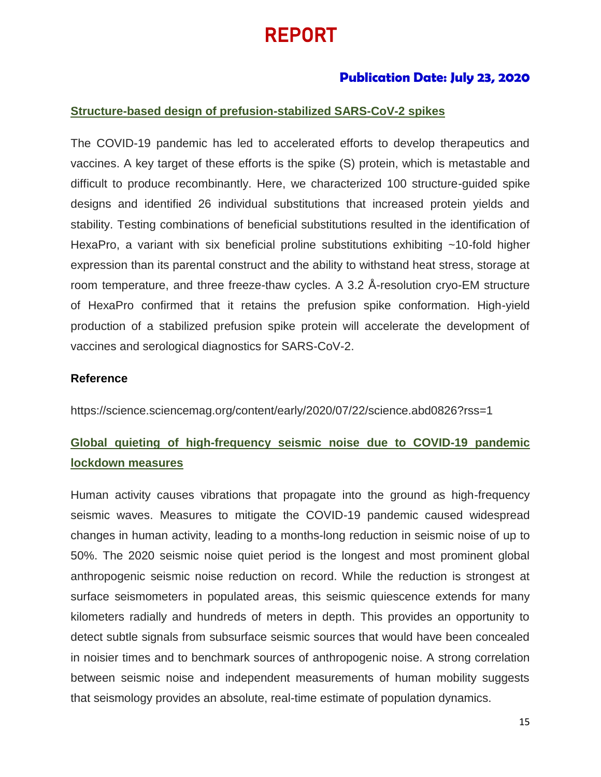# REPORT

# **Publication Date: July 23, 2020**

## **Structure-based design of prefusion-stabilized SARS-CoV-2 spikes**

The COVID-19 pandemic has led to accelerated efforts to develop therapeutics and vaccines. A key target of these efforts is the spike (S) protein, which is metastable and difficult to produce recombinantly. Here, we characterized 100 structure-guided spike designs and identified 26 individual substitutions that increased protein yields and stability. Testing combinations of beneficial substitutions resulted in the identification of HexaPro, a variant with six beneficial proline substitutions exhibiting ~10-fold higher expression than its parental construct and the ability to withstand heat stress, storage at room temperature, and three freeze-thaw cycles. A 3.2 Å-resolution cryo-EM structure of HexaPro confirmed that it retains the prefusion spike conformation. High-yield production of a stabilized prefusion spike protein will accelerate the development of vaccines and serological diagnostics for SARS-CoV-2.

#### **Reference**

<https://science.sciencemag.org/content/early/2020/07/22/science.abd0826?rss=1>

# **Global quieting of high-frequency seismic noise due to COVID-19 pandemic lockdown measures**

Human activity causes vibrations that propagate into the ground as high-frequency seismic waves. Measures to mitigate the COVID-19 pandemic caused widespread changes in human activity, leading to a months-long reduction in seismic noise of up to 50%. The 2020 seismic noise quiet period is the longest and most prominent global anthropogenic seismic noise reduction on record. While the reduction is strongest at surface seismometers in populated areas, this seismic quiescence extends for many kilometers radially and hundreds of meters in depth. This provides an opportunity to detect subtle signals from subsurface seismic sources that would have been concealed in noisier times and to benchmark sources of anthropogenic noise. A strong correlation between seismic noise and independent measurements of human mobility suggests that seismology provides an absolute, real-time estimate of population dynamics.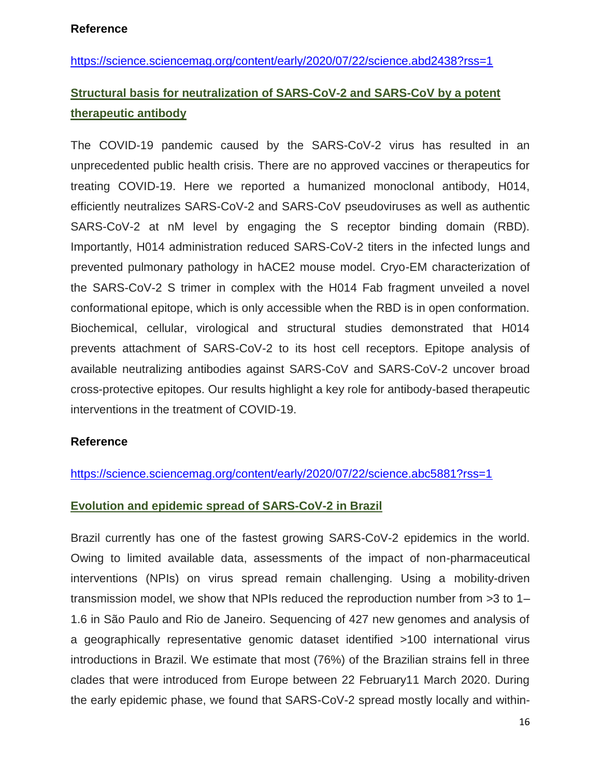#### **Reference**

<https://science.sciencemag.org/content/early/2020/07/22/science.abd2438?rss=1>

# **Structural basis for neutralization of SARS-CoV-2 and SARS-CoV by a potent therapeutic antibody**

The COVID-19 pandemic caused by the SARS-CoV-2 virus has resulted in an unprecedented public health crisis. There are no approved vaccines or therapeutics for treating COVID-19. Here we reported a humanized monoclonal antibody, H014, efficiently neutralizes SARS-CoV-2 and SARS-CoV pseudoviruses as well as authentic SARS-CoV-2 at nM level by engaging the S receptor binding domain (RBD). Importantly, H014 administration reduced SARS-CoV-2 titers in the infected lungs and prevented pulmonary pathology in hACE2 mouse model. Cryo-EM characterization of the SARS-CoV-2 S trimer in complex with the H014 Fab fragment unveiled a novel conformational epitope, which is only accessible when the RBD is in open conformation. Biochemical, cellular, virological and structural studies demonstrated that H014 prevents attachment of SARS-CoV-2 to its host cell receptors. Epitope analysis of available neutralizing antibodies against SARS-CoV and SARS-CoV-2 uncover broad cross-protective epitopes. Our results highlight a key role for antibody-based therapeutic interventions in the treatment of COVID-19.

## **Reference**

<https://science.sciencemag.org/content/early/2020/07/22/science.abc5881?rss=1>

## **Evolution and epidemic spread of SARS-CoV-2 in Brazil**

Brazil currently has one of the fastest growing SARS-CoV-2 epidemics in the world. Owing to limited available data, assessments of the impact of non-pharmaceutical interventions (NPIs) on virus spread remain challenging. Using a mobility-driven transmission model, we show that NPIs reduced the reproduction number from >3 to 1– 1.6 in São Paulo and Rio de Janeiro. Sequencing of 427 new genomes and analysis of a geographically representative genomic dataset identified >100 international virus introductions in Brazil. We estimate that most (76%) of the Brazilian strains fell in three clades that were introduced from Europe between 22 February11 March 2020. During the early epidemic phase, we found that SARS-CoV-2 spread mostly locally and within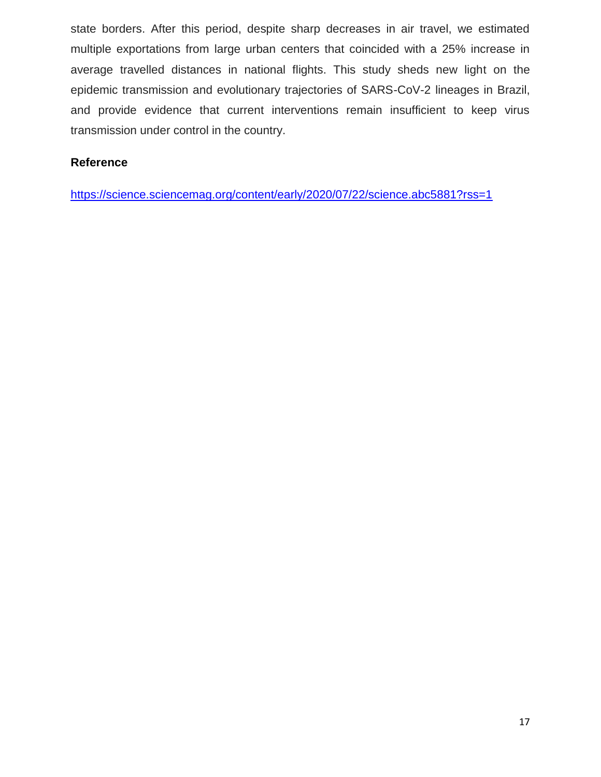state borders. After this period, despite sharp decreases in air travel, we estimated multiple exportations from large urban centers that coincided with a 25% increase in average travelled distances in national flights. This study sheds new light on the epidemic transmission and evolutionary trajectories of SARS-CoV-2 lineages in Brazil, and provide evidence that current interventions remain insufficient to keep virus transmission under control in the country.

## **Reference**

<https://science.sciencemag.org/content/early/2020/07/22/science.abc5881?rss=1>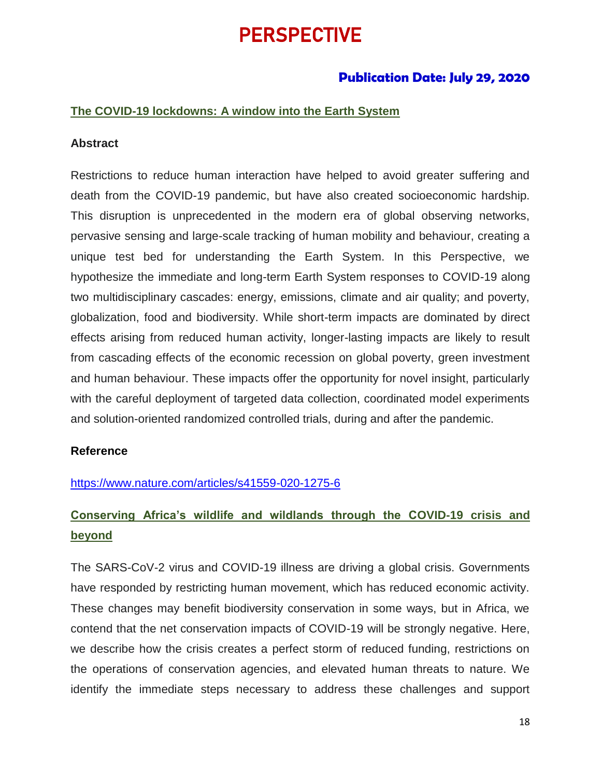# PERSPECTIVE

# **Publication Date: July 29, 2020**

#### **The COVID-19 lockdowns: A window into the Earth System**

#### **Abstract**

Restrictions to reduce human interaction have helped to avoid greater suffering and death from the COVID-19 pandemic, but have also created socioeconomic hardship. This disruption is unprecedented in the modern era of global observing networks, pervasive sensing and large-scale tracking of human mobility and behaviour, creating a unique test bed for understanding the Earth System. In this Perspective, we hypothesize the immediate and long-term Earth System responses to COVID-19 along two multidisciplinary cascades: energy, emissions, climate and air quality; and poverty, globalization, food and biodiversity. While short-term impacts are dominated by direct effects arising from reduced human activity, longer-lasting impacts are likely to result from cascading effects of the economic recession on global poverty, green investment and human behaviour. These impacts offer the opportunity for novel insight, particularly with the careful deployment of targeted data collection, coordinated model experiments and solution-oriented randomized controlled trials, during and after the pandemic.

#### **Reference**

#### <https://www.nature.com/articles/s41559-020-1275-6>

# **Conserving Africa's wildlife and wildlands through the COVID-19 crisis and beyond**

The SARS-CoV-2 virus and COVID-19 illness are driving a global crisis. Governments have responded by restricting human movement, which has reduced economic activity. These changes may benefit biodiversity conservation in some ways, but in Africa, we contend that the net conservation impacts of COVID-19 will be strongly negative. Here, we describe how the crisis creates a perfect storm of reduced funding, restrictions on the operations of conservation agencies, and elevated human threats to nature. We identify the immediate steps necessary to address these challenges and support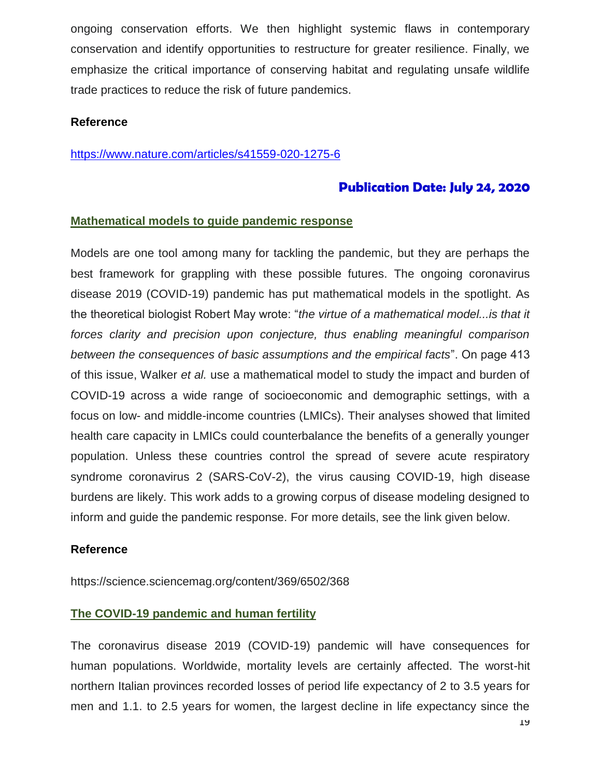ongoing conservation efforts. We then highlight systemic flaws in contemporary conservation and identify opportunities to restructure for greater resilience. Finally, we emphasize the critical importance of conserving habitat and regulating unsafe wildlife trade practices to reduce the risk of future pandemics.

## **Reference**

#### <https://www.nature.com/articles/s41559-020-1275-6>

# **Publication Date: July 24, 2020**

## **Mathematical models to guide pandemic response**

Models are one tool among many for tackling the pandemic, but they are perhaps the best framework for grappling with these possible futures. The ongoing coronavirus disease 2019 (COVID-19) pandemic has put mathematical models in the spotlight. As the theoretical biologist Robert May wrote: "*the virtue of a mathematical model...is that it forces clarity and precision upon conjecture, thus enabling meaningful comparison between the consequences of basic assumptions and the empirical facts*". On page 413 of this issue, Walker *et al.* use a mathematical model to study the impact and burden of COVID-19 across a wide range of socioeconomic and demographic settings, with a focus on low- and middle-income countries (LMICs). Their analyses showed that limited health care capacity in LMICs could counterbalance the benefits of a generally younger population. Unless these countries control the spread of severe acute respiratory syndrome coronavirus 2 (SARS-CoV-2), the virus causing COVID-19, high disease burdens are likely. This work adds to a growing corpus of disease modeling designed to inform and guide the pandemic response. For more details, see the link given below.

#### **Reference**

https://science.sciencemag.org/content/369/6502/368

## **The COVID-19 pandemic and human fertility**

The coronavirus disease 2019 (COVID-19) pandemic will have consequences for human populations. Worldwide, mortality levels are certainly affected. The worst-hit northern Italian provinces recorded losses of period life expectancy of 2 to 3.5 years for men and 1.1. to 2.5 years for women, the largest decline in life expectancy since the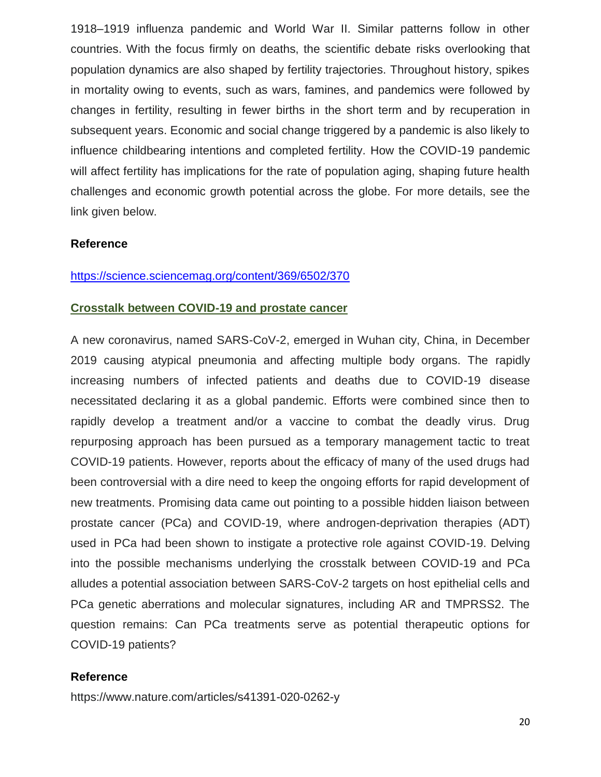1918–1919 influenza pandemic and World War II. Similar patterns follow in other countries. With the focus firmly on deaths, the scientific debate risks overlooking that population dynamics are also shaped by fertility trajectories. Throughout history, spikes in mortality owing to events, such as wars, famines, and pandemics were followed by changes in fertility, resulting in fewer births in the short term and by recuperation in subsequent years. Economic and social change triggered by a pandemic is also likely to influence childbearing intentions and completed fertility. How the COVID-19 pandemic will affect fertility has implications for the rate of population aging, shaping future health challenges and economic growth potential across the globe. For more details, see the link given below.

#### **Reference**

#### <https://science.sciencemag.org/content/369/6502/370>

#### **Crosstalk between COVID-19 and prostate cancer**

A new coronavirus, named SARS-CoV-2, emerged in Wuhan city, China, in December 2019 causing atypical pneumonia and affecting multiple body organs. The rapidly increasing numbers of infected patients and deaths due to COVID-19 disease necessitated declaring it as a global pandemic. Efforts were combined since then to rapidly develop a treatment and/or a vaccine to combat the deadly virus. Drug repurposing approach has been pursued as a temporary management tactic to treat COVID-19 patients. However, reports about the efficacy of many of the used drugs had been controversial with a dire need to keep the ongoing efforts for rapid development of new treatments. Promising data came out pointing to a possible hidden liaison between prostate cancer (PCa) and COVID-19, where androgen-deprivation therapies (ADT) used in PCa had been shown to instigate a protective role against COVID-19. Delving into the possible mechanisms underlying the crosstalk between COVID-19 and PCa alludes a potential association between SARS-CoV-2 targets on host epithelial cells and PCa genetic aberrations and molecular signatures, including AR and TMPRSS2. The question remains: Can PCa treatments serve as potential therapeutic options for COVID-19 patients?

#### **Reference**

https://www.nature.com/articles/s41391-020-0262-y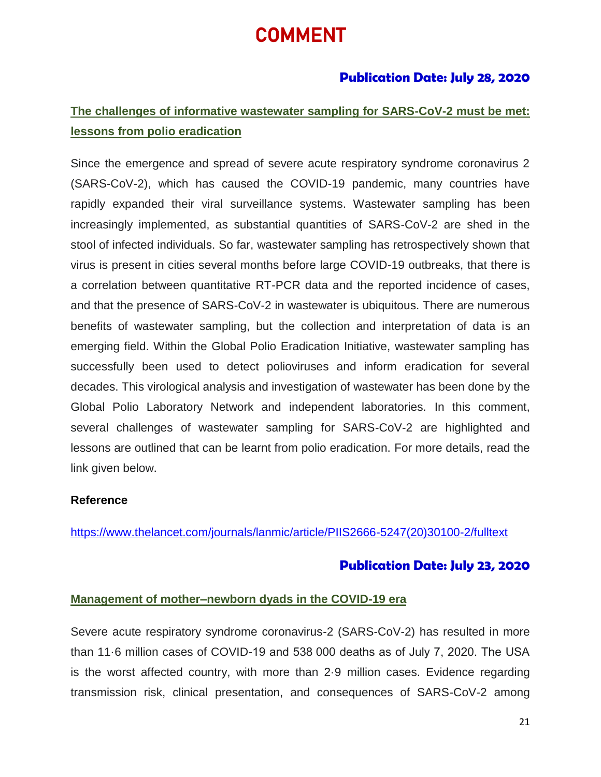# COMMENT

# **Publication Date: July 28, 2020**

# **The challenges of informative wastewater sampling for SARS-CoV-2 must be met: lessons from polio eradication**

Since the emergence and spread of severe acute respiratory syndrome coronavirus 2 (SARS-CoV-2), which has caused the COVID-19 pandemic, many countries have rapidly expanded their viral surveillance systems. Wastewater sampling has been increasingly implemented, as substantial quantities of SARS-CoV-2 are shed in the stool of infected individuals. So far, wastewater sampling has retrospectively shown that virus is present in cities several months before large COVID-19 outbreaks, that there is a correlation between quantitative RT-PCR data and the reported incidence of cases, and that the presence of SARS-CoV-2 in wastewater is ubiquitous. There are numerous benefits of wastewater sampling, but the collection and interpretation of data is an emerging field. Within the Global Polio Eradication Initiative, wastewater sampling has successfully been used to detect polioviruses and inform eradication for several decades. This virological analysis and investigation of wastewater has been done by the Global Polio Laboratory Network and independent laboratories. In this comment, several challenges of wastewater sampling for SARS-CoV-2 are highlighted and lessons are outlined that can be learnt from polio eradication. For more details, read the link given below.

## **Reference**

[https://www.thelancet.com/journals/lanmic/article/PIIS2666-5247\(20\)30100-2/fulltext](https://www.thelancet.com/journals/lanmic/article/PIIS2666-5247(20)30100-2/fulltext)

## **Publication Date: July 23, 2020**

#### **Management of mother–newborn dyads in the COVID-19 era**

Severe acute respiratory syndrome coronavirus-2 (SARS-CoV-2) has resulted in more than 11·6 million cases of COVID-19 and 538 000 deaths as of July 7, 2020. The USA is the worst affected country, with more than 2·9 million cases. Evidence regarding transmission risk, clinical presentation, and consequences of SARS-CoV-2 among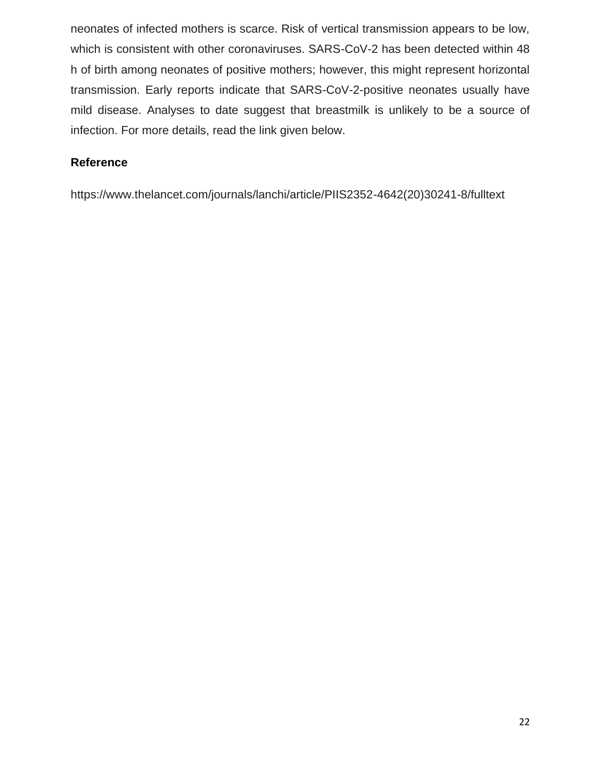neonates of infected mothers is scarce. Risk of vertical transmission appears to be low, which is consistent with other coronaviruses. SARS-CoV-2 has been detected within 48 h of birth among neonates of positive mothers; however, this might represent horizontal transmission. Early reports indicate that SARS-CoV-2-positive neonates usually have mild disease. Analyses to date suggest that breastmilk is unlikely to be a source of infection. For more details, read the link given below.

## **Reference**

https://www.thelancet.com/journals/lanchi/article/PIIS2352-4642(20)30241-8/fulltext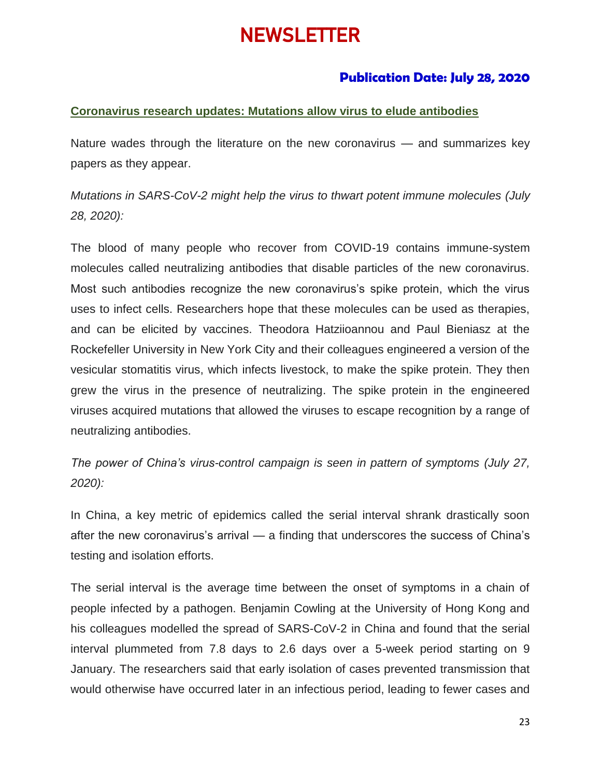# NEWSLETTER

# **Publication Date: July 28, 2020**

## **Coronavirus research updates: Mutations allow virus to elude antibodies**

Nature wades through the literature on the new coronavirus — and summarizes key papers as they appear.

*Mutations in SARS-CoV-2 might help the virus to thwart potent immune molecules (July 28, 2020):*

The blood of many people who recover from COVID-19 contains immune-system molecules called neutralizing antibodies that disable particles of the new coronavirus. Most such antibodies recognize the new coronavirus's spike protein, which the virus uses to infect cells. Researchers hope that these molecules can be used as therapies, and can be elicited by vaccines. Theodora Hatziioannou and Paul Bieniasz at the Rockefeller University in New York City and their colleagues engineered a version of the vesicular stomatitis virus, which infects livestock, to make the spike protein. They then grew the virus in the presence of neutralizing. The spike protein in the engineered viruses acquired mutations that allowed the viruses to escape recognition by a range of neutralizing antibodies.

*The power of China's virus-control campaign is seen in pattern of symptoms (July 27, 2020):*

In China, a key metric of epidemics called the serial interval shrank drastically soon after the new coronavirus's arrival — a finding that underscores the success of China's testing and isolation efforts.

The serial interval is the average time between the onset of symptoms in a chain of people infected by a pathogen. Benjamin Cowling at the University of Hong Kong and his colleagues modelled the spread of SARS-CoV-2 in China and found that the serial interval plummeted from 7.8 days to 2.6 days over a 5-week period starting on 9 January. The researchers said that early isolation of cases prevented transmission that would otherwise have occurred later in an infectious period, leading to fewer cases and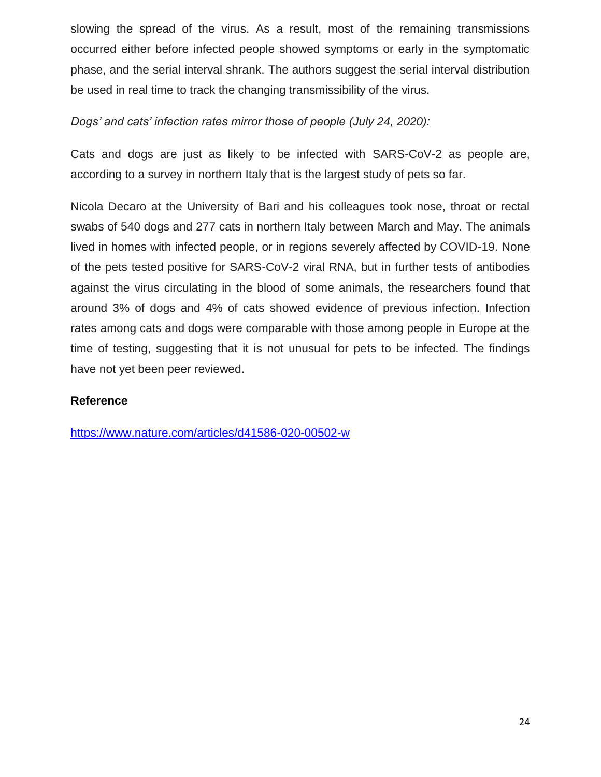slowing the spread of the virus. As a result, most of the remaining transmissions occurred either before infected people showed symptoms or early in the symptomatic phase, and the serial interval shrank. The authors suggest the serial interval distribution be used in real time to track the changing transmissibility of the virus.

*Dogs' and cats' infection rates mirror those of people (July 24, 2020):*

Cats and dogs are just as likely to be infected with SARS-CoV-2 as people are, according to a survey in northern Italy that is the largest study of pets so far.

Nicola Decaro at the University of Bari and his colleagues took nose, throat or rectal swabs of 540 dogs and 277 cats in northern Italy between March and May. The animals lived in homes with infected people, or in regions severely affected by COVID-19. None of the pets tested positive for SARS-CoV-2 viral RNA, but in further tests of antibodies against the virus circulating in the blood of some animals, the researchers found that around 3% of dogs and 4% of cats showed evidence of previous infection. Infection rates among cats and dogs were comparable with those among people in Europe at the time of testing, suggesting that it is not unusual for pets to be infected. The findings have not yet been peer reviewed.

## **Reference**

<https://www.nature.com/articles/d41586-020-00502-w>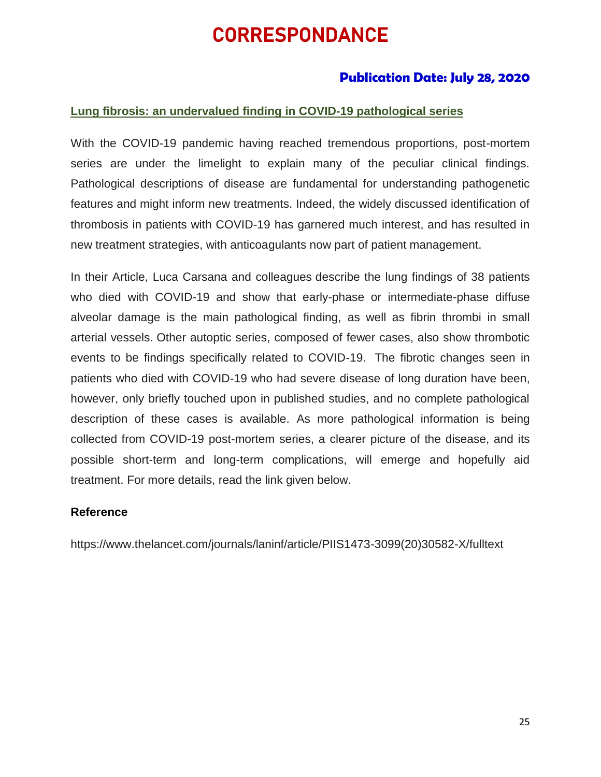# CORRESPONDANCE

# **Publication Date: July 28, 2020**

## **Lung fibrosis: an undervalued finding in COVID-19 pathological series**

With the COVID-19 pandemic having reached tremendous proportions, post-mortem series are under the limelight to explain many of the peculiar clinical findings. Pathological descriptions of disease are fundamental for understanding pathogenetic features and might inform new treatments. Indeed, the widely discussed identification of thrombosis in patients with COVID-19 has garnered much interest, and has resulted in new treatment strategies, with anticoagulants now part of patient management.

In their Article, Luca Carsana and colleagues describe the lung findings of 38 patients who died with COVID-19 and show that early-phase or intermediate-phase diffuse alveolar damage is the main pathological finding, as well as fibrin thrombi in small arterial vessels. Other autoptic series, composed of fewer cases, also show thrombotic events to be findings specifically related to COVID-19. The fibrotic changes seen in patients who died with COVID-19 who had severe disease of long duration have been, however, only briefly touched upon in published studies, and no complete pathological description of these cases is available. As more pathological information is being collected from COVID-19 post-mortem series, a clearer picture of the disease, and its possible short-term and long-term complications, will emerge and hopefully aid treatment. For more details, read the link given below.

## **Reference**

https://www.thelancet.com/journals/laninf/article/PIIS1473-3099(20)30582-X/fulltext